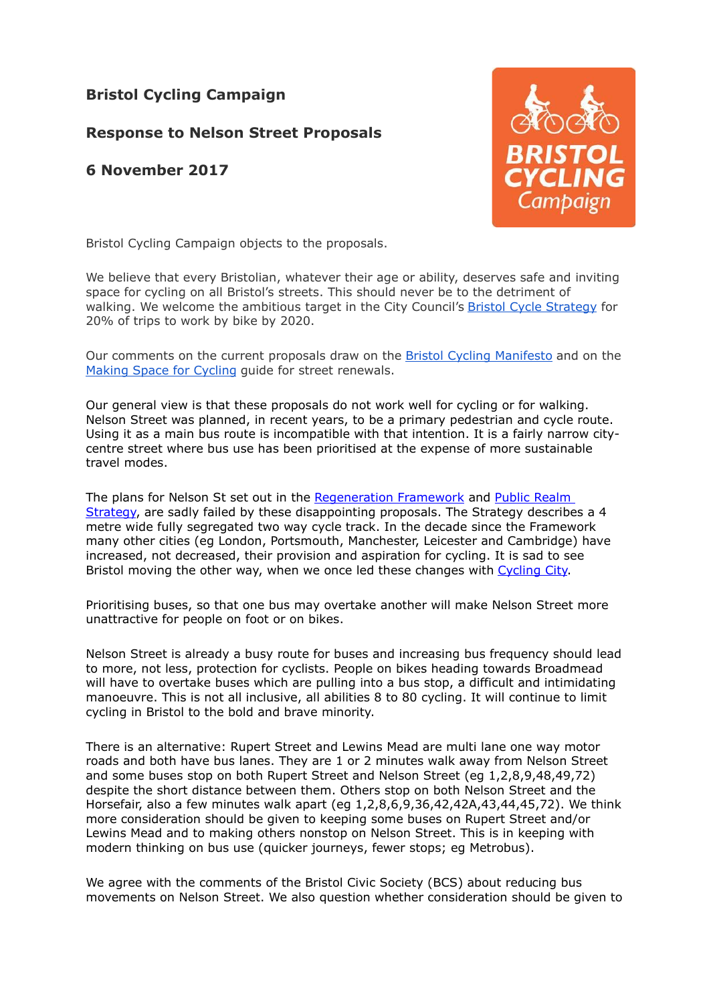## **Bristol Cycling Campaign**

## **Response to Nelson Street Proposals**

## **6 November 2017**



Bristol Cycling Campaign objects to the proposals.

We believe that every Bristolian, whatever their age or ability, deserves safe and inviting space for cycling on all Bristol's streets. This should never be to the detriment of walking. We welcome the ambitious target in the City Council's [Bristol Cycle Strategy](http://travelwest.info/cycle/bristol-cycle-strategy) for 20% of trips to work by bike by 2020.

Our comments on the current proposals draw on the [Bristol Cycling Manifesto](http://www.bristolcyclingcampaign.org.uk/campaign/manifesto) and on the [Making Space for Cycling](http://makingspaceforcycling.org/) guide for street renewals.

Our general view is that these proposals do not work well for cycling or for walking. Nelson Street was planned, in recent years, to be a primary pedestrian and cycle route. Using it as a main bus route is incompatible with that intention. It is a fairly narrow citycentre street where bus use has been prioritised at the expense of more sustainable travel modes.

The plans for Nelson St set out in the [Regeneration Framework](https://www.bristol.gov.uk/documents/20182/34520/SPD8-NelsonSt.pdf/829be1d6-0b1c-4503-8ed9-c65fcd335cd6) and [Public Realm](https://www.bristol.gov.uk/documents/20182/34520/Nelson+Street+Public+Realm+Strategy+Final+Report+August+2015+LD_0.pdf/0fddd3de-6ae0-42b0-9d27-5ad93d3c01b3) [Strategy,](https://www.bristol.gov.uk/documents/20182/34520/Nelson+Street+Public+Realm+Strategy+Final+Report+August+2015+LD_0.pdf/0fddd3de-6ae0-42b0-9d27-5ad93d3c01b3) are sadly failed by these disappointing proposals. The Strategy describes a 4 metre wide fully segregated two way cycle track. In the decade since the Framework many other cities (eg London, Portsmouth, Manchester, Leicester and Cambridge) have increased, not decreased, their provision and aspiration for cycling. It is sad to see Bristol moving the other way, when we once led these changes with [Cycling City.](https://www.sustrans.org.uk/sites/default/files/file_content_type/cycling_city_and_towns_bristol.pdf)

Prioritising buses, so that one bus may overtake another will make Nelson Street more unattractive for people on foot or on bikes.

Nelson Street is already a busy route for buses and increasing bus frequency should lead to more, not less, protection for cyclists. People on bikes heading towards Broadmead will have to overtake buses which are pulling into a bus stop, a difficult and intimidating manoeuvre. This is not all inclusive, all abilities 8 to 80 cycling. It will continue to limit cycling in Bristol to the bold and brave minority.

There is an alternative: Rupert Street and Lewins Mead are multi lane one way motor roads and both have bus lanes. They are 1 or 2 minutes walk away from Nelson Street and some buses stop on both Rupert Street and Nelson Street (eg 1,2,8,9,48,49,72) despite the short distance between them. Others stop on both Nelson Street and the Horsefair, also a few minutes walk apart (eg 1,2,8,6,9,36,42,42A,43,44,45,72). We think more consideration should be given to keeping some buses on Rupert Street and/or Lewins Mead and to making others nonstop on Nelson Street. This is in keeping with modern thinking on bus use (quicker journeys, fewer stops; eg Metrobus).

We agree with the comments of the Bristol Civic Society (BCS) about reducing bus movements on Nelson Street. We also question whether consideration should be given to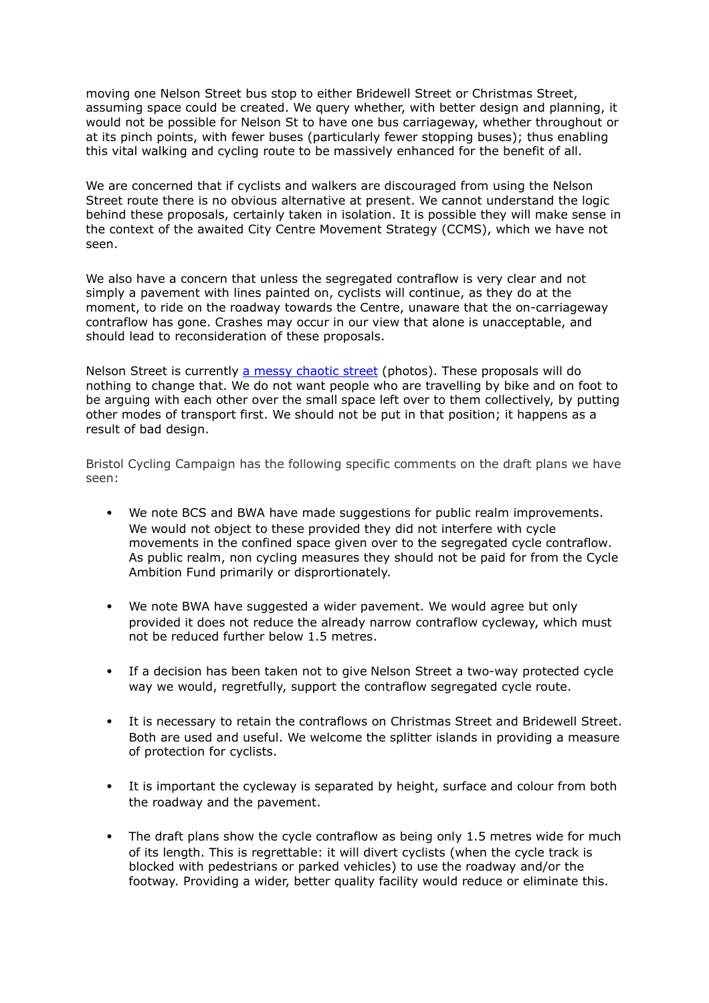moving one Nelson Street bus stop to either Bridewell Street or Christmas Street, assuming space could be created. We query whether, with better design and planning, it would not be possible for Nelson St to have one bus carriageway, whether throughout or at its pinch points, with fewer buses (particularly fewer stopping buses); thus enabling this vital walking and cycling route to be massively enhanced for the benefit of all.

We are concerned that if cyclists and walkers are discouraged from using the Nelson Street route there is no obvious alternative at present. We cannot understand the logic behind these proposals, certainly taken in isolation. It is possible they will make sense in the context of the awaited City Centre Movement Strategy (CCMS), which we have not seen.

We also have a concern that unless the segregated contraflow is very clear and not simply a pavement with lines painted on, cyclists will continue, as they do at the moment, to ride on the roadway towards the Centre, unaware that the on-carriageway contraflow has gone. Crashes may occur in our view that alone is unacceptable, and should lead to reconsideration of these proposals.

Nelson Street is currently [a messy chaotic street](https://www.flickr.com/photos/samsaunders/sets/72157662080350648/) (photos). These proposals will do nothing to change that. We do not want people who are travelling by bike and on foot to be arguing with each other over the small space left over to them collectively, by putting other modes of transport first. We should not be put in that position; it happens as a result of bad design.

Bristol Cycling Campaign has the following specific comments on the draft plans we have seen:

- ! We note BCS and BWA have made suggestions for public realm improvements. We would not object to these provided they did not interfere with cycle movements in the confined space given over to the segregated cycle contraflow. As public realm, non cycling measures they should not be paid for from the Cycle Ambition Fund primarily or disprortionately.
- . We note BWA have suggested a wider pavement. We would agree but only provided it does not reduce the already narrow contraflow cycleway, which must not be reduced further below 1.5 metres.
- ! If a decision has been taken not to give Nelson Street a two-way protected cycle way we would, regretfully, support the contraflow segregated cycle route.
- ! It is necessary to retain the contraflows on Christmas Street and Bridewell Street. Both are used and useful. We welcome the splitter islands in providing a measure of protection for cyclists.
- ! It is important the cycleway is separated by height, surface and colour from both the roadway and the pavement.
- The draft plans show the cycle contraflow as being only 1.5 metres wide for much of its length. This is regrettable: it will divert cyclists (when the cycle track is blocked with pedestrians or parked vehicles) to use the roadway and/or the footway. Providing a wider, better quality facility would reduce or eliminate this.